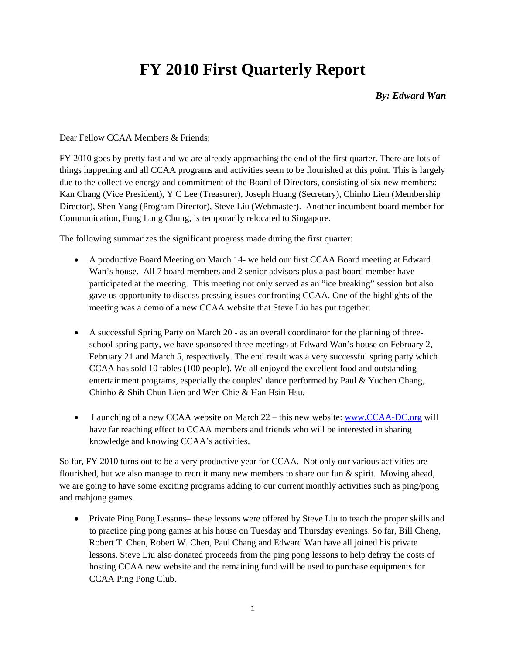## **FY 2010 First Quarterly Report**

## *By: Edward Wan*

## Dear Fellow CCAA Members & Friends:

FY 2010 goes by pretty fast and we are already approaching the end of the first quarter. There are lots of things happening and all CCAA programs and activities seem to be flourished at this point. This is largely due to the collective energy and commitment of the Board of Directors, consisting of six new members: Kan Chang (Vice President), Y C Lee (Treasurer), Joseph Huang (Secretary), Chinho Lien (Membership Director), Shen Yang (Program Director), Steve Liu (Webmaster). Another incumbent board member for Communication, Fung Lung Chung, is temporarily relocated to Singapore.

The following summarizes the significant progress made during the first quarter:

- A productive Board Meeting on March 14- we held our first CCAA Board meeting at Edward Wan's house. All 7 board members and 2 senior advisors plus a past board member have participated at the meeting. This meeting not only served as an "ice breaking" session but also gave us opportunity to discuss pressing issues confronting CCAA. One of the highlights of the meeting was a demo of a new CCAA website that Steve Liu has put together.
- A successful Spring Party on March 20 as an overall coordinator for the planning of threeschool spring party, we have sponsored three meetings at Edward Wan's house on February 2, February 21 and March 5, respectively. The end result was a very successful spring party which CCAA has sold 10 tables (100 people). We all enjoyed the excellent food and outstanding entertainment programs, especially the couples' dance performed by Paul & Yuchen Chang, Chinho & Shih Chun Lien and Wen Chie & Han Hsin Hsu.
- Launching of a new CCAA website on March 22 this new website: www.CCAA-DC.org will have far reaching effect to CCAA members and friends who will be interested in sharing knowledge and knowing CCAA's activities.

So far, FY 2010 turns out to be a very productive year for CCAA. Not only our various activities are flourished, but we also manage to recruit many new members to share our fun  $\&$  spirit. Moving ahead, we are going to have some exciting programs adding to our current monthly activities such as ping/pong and mahjong games.

• Private Ping Pong Lessons– these lessons were offered by Steve Liu to teach the proper skills and to practice ping pong games at his house on Tuesday and Thursday evenings. So far, Bill Cheng, Robert T. Chen, Robert W. Chen, Paul Chang and Edward Wan have all joined his private lessons. Steve Liu also donated proceeds from the ping pong lessons to help defray the costs of hosting CCAA new website and the remaining fund will be used to purchase equipments for CCAA Ping Pong Club.